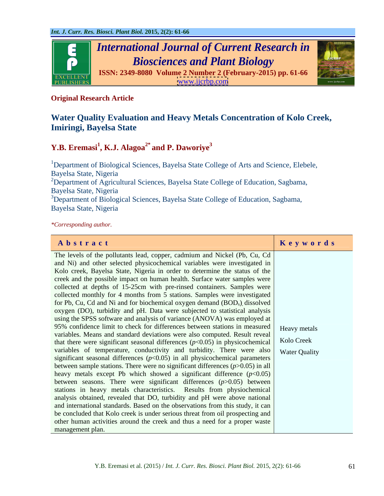

# **Original Research Article**

# **Water Quality Evaluation and Heavy Metals Concentration of Kolo Creek, Imiringi, Bayelsa State**

# **Y.B. Eremasi<sup>1</sup> , K.J. Alagoa2\* and P. Daworiye3**

<sup>1</sup>Department of Biological Sciences, Bayelsa State College of Arts and Science, Elebele, Bayelsa State, Nigeria <sup>2</sup>Department of Agricultural Sciences, Bayelsa State College of Education, Sagbama, Bayelsa State, Nigeria <sup>3</sup>Department of Biological Sciences, Bayelsa State College of Education, Sagbama, Bayelsa State, Nigeria

*\*Corresponding author.*

| Abstract                                                                                  | Keywords   |
|-------------------------------------------------------------------------------------------|------------|
| The levels of the pollutants lead, copper, cadmium and Nickel (Pb, Cu, Cd                 |            |
| and Ni) and other selected physicochemical variables were investigated in                 |            |
| Kolo creek, Bayelsa State, Nigeria in order to determine the status of the                |            |
| creek and the possible impact on human health. Surface water samples were                 |            |
| collected at depths of 15-25cm with pre-rinsed containers. Samples were                   |            |
| collected monthly for 4 months from 5 stations. Samples were investigated                 |            |
| for Pb, Cu, Cd and Ni and for biochemical oxygen demand (BOD <sub>s</sub> ) dissolved     |            |
| oxygen (DO), turbidity and pH. Data were subjected to statistical analysis                |            |
| using the SPSS software and analysis of variance (ANOVA) was employed at                  |            |
| 95% confidence limit to check for differences between stations in measured   Heavy metals |            |
| variables. Means and standard deviations were also computed. Result reveal                |            |
| that there were significant seasonal differences $(p<0.05)$ in physicochemical            | Kolo Creek |
| variables of temperature, conductivity and turbidity. There were also Water Quality       |            |
| significant seasonal differences $(p<0.05)$ in all physicochemical parameters             |            |
| between sample stations. There were no significant differences $(p>0.05)$ in all          |            |
| heavy metals except Pb which showed a significant difference $(p<0.05)$                   |            |
| between seasons. There were significant differences $(p>0.05)$ between                    |            |
| stations in heavy metals characteristics. Results from physiochemical                     |            |
| analysis obtained, revealed that DO, turbidity and pH were above national                 |            |
| and international standards. Based on the observations from this study, it can            |            |
| be concluded that Kolo creek is under serious threat from oil prospecting and             |            |
| other human activities around the creek and thus a need for a proper waste                |            |
| management plan.                                                                          |            |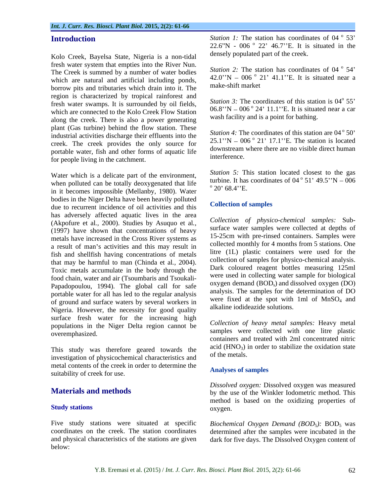Kolo Creek, Bayelsa State, Nigeria is a non-tidal fresh water system that empties into the River Nun. The Creek is summed by a number of water bodies which are natural and artificial including ponds, borrow pits and tributaries which drain into it. The region is characterized by tropical rainforest and fresh water swamps. It is surrounded by oil fields, which are connected to the Kolo Creek Flow Station along the creek. There is also a power generating plant (Gas turbine) behind the flow station. These industrial activities discharge their effluents into the creek. The creek provides the only source for portable water, fish and other forms of aquatic life downstream<br>interference for people living in the catchment.

Water which is a delicate part of the environment, when polluted can be totally deoxygenated that life  $\frac{\text{turbine. It has}}{20^\circ}$  68.4"E. in it becomes impossible (Mellanby*,* 1980). Water bodies in the Niger Delta have been heavily polluted<br>due to require the incidence of oil equivalence and this<br>Collection of samples due to recurrent incidence of oil activities and this has adversely affected aquatic lives in the area (Akpofure et al*.,* 2000). Studies by Asuquo et al*.,* (1997) have shown that concentrations of heavy metals have increased in the Cross River systems as a result of man's activities and this may result in fish and shellfish having concentrations of metals that may be harmful to man (Chinda et al*.,* 2004). Toxic metals accumulate in the body through the food chain, water and air (Tsoumbaris and Tsoukali- Papadopoulou, 1994). The global call for safe portable water for all has led to the regular analysis of ground and surface waters by several workers in Nigeria. However, the necessity for good quality surface fresh water for the increasing high populations in the Niger Delta region cannot be overemphasized. samples were collected with one litre plastic

This study was therefore geared towards the  $rac{a}{1}$  actual  $frac{H}{NQ_3}$ investigation of physicochemical characteristics and metal contents of the creek in order to determine the<br>Analyses of samples suitability of creek for use.

Five study stations were situated at specific Biochemical Oxygen Demand (BOD<sub>5</sub>): BOD<sub>5</sub> was and physical characteristics of the stations are given dark for five days. The Dissolved Oxygen content of below:

**Introduction** *Station 1:* The station has coordinates of 04 ° 53'  $0\leq 2$ 53 22.6"N - 006  $^{\circ}$  22" 46.7"E. It is situated in the densely populated part of the creek.

> *Station* 2: The station has coordinates of 04  $\degree$  54'  $0 \leq A$ 54  $42.0''N - 006^{\circ} 21' 41.1''E$ . It is situated near a make-shift market

> *Station* 3: The coordinates of this station is 04<sup>°</sup> 55<sup>°</sup>  $\circ$   $\leq$ , 55  $06.8$ "N  $-0.06$  ° 24' 11.1"E. It is situated near a car wash facility and is a point for bathing.

> *Station 4:* The coordinates of this station are 04<sup>°</sup> 50'  $25.1$ "N  $-$  006  $^{\circ}$  21' 17.1". E. The station is located downstream where there are no visible direct human interference.

*Station 5:* This station located closest to the gas turbine. It has coordinates of  $04^\circ 51' 49.5'' N - 006$  $0.51$ ,  $10.5$ ,  $N_{\rm A}$   $0.06$  $51'$  49.5"N  $-006$  $^{\circ}$  20' 69  $^{\prime}$   $^{\prime}$  E 20' 68.4''E.

### **Collection of samples**

*Collection of physico-chemical samples:* Sub surface water samples were collected at depths of 15-25cm with pre-rinsed containers. Samples were collected monthly for 4 months from 5 stations. One litre (1L) plastic containers were used for the collection of samples for physico-chemical analysis. Dark coloured reagent bottles measuring 125ml were used in collecting water sample for biological oxygen demand  $(BOD<sub>s</sub>)$  and dissolved oxygen  $(DO)$ ) and dissolved oxygen (DO) analysis. The samples for the determination of DO were fixed at the spot with 1ml of  $MnSO<sub>4</sub>$  and alkaline iodideazide solutions.

*Collection of heavy metal samples:* Heavy metal containers and treated with 2ml concentrated nitric acid  $(HNO<sub>3</sub>)$  in order to stabilize the oxidation state of the metals.

### **Analyses of samples**

**Materials and methods** by the use of the Winkler Iodometric method. This **Study stations** oxygen. *Dissolved oxygen:* Dissolved oxygen was measured method is based on the oxidizing properties of oxygen.

coordinates on the creek. The station coordinates determined after the samples were incubated in the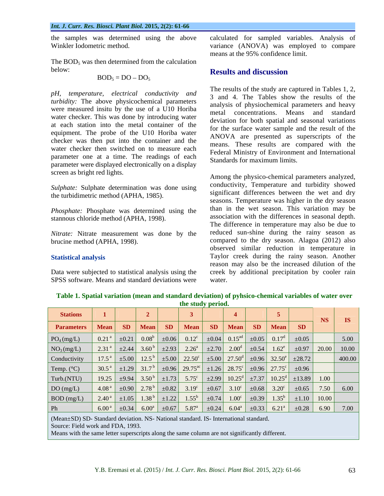*Int. J. Curr. Res. Biosci. Plant Biol.* **2015, 2(2): 61-66** 

The  $BOD<sub>5</sub>$  was then determined from the calculation below: **Results and discussion** 

$$
BOD5 = DO - DO5
$$

*pH, temperature, electrical conductivity and turbidity:* The above physicochemical parameters were measured insitu by the use of a U10 Horiba water checker. This was done by introducing water at each station into the metal container of the equipment. The probe of the U10 Horiba water checker was then put into the container and the water checker then switched on to measure each parameter one at a time. The readings of each parameter were displayed electronically on a display screen as bright red lights.

*Sulphate:* Sulphate determination was done using the turbidimetric method (APHA, 1985).

*Phosphate:* Phosphate was determined using the stannous chloride method (APHA, 1998).

*Nitrate:* Nitrate measurement was done by the

SPSS software. Means and standard deviations were water.

the samples was determined using the above calculated for sampled variables. Analysis of Winkler Iodometric method. variance (ANOVA) was employed to compare means at the 95% confidence limit.

## **Results and discussion**

The results of the study are captured in Tables 1, 2, 3 and 4. The Tables show the results of the analysis of physiochemical parameters and heavy metal concentrations. Means and standard deviation for both spatial and seasonal variations for the surface water sample and the result of the ANOVA are presented as superscripts of the means. These results are compared with the Federal Ministry of Environment and International Standards for maximum limits.

brucine method (APHA, 1998). compared to the dry season. Alagoa (2012) also **Statistical analysis** Taylor creek during the rainy season. Another Data were subjected to statistical analysis using the creek by additional precipitation by cooler rain Among the physico-chemical parameters analyzed, conductivity, Temperature and turbidity showed significant differences between the wet and dry seasons. Temperature was higher in the dry season than in the wet season. This variation may be association with the differences in seasonal depth. The difference in temperature may also be due to reduced sun-shine during the rainy season as observed similar reduction in temperature in reason may also be the increased dilution of the water.

| Stations 1       2     3     4   5                                                                                                                                |  |  |  |  | $\overline{\phantom{1}}$ NS $\overline{\phantom{1}}$ IS |  |
|-------------------------------------------------------------------------------------------------------------------------------------------------------------------|--|--|--|--|---------------------------------------------------------|--|
| Parameters Mean SD Mean SD Mean SD Mean SD Mean SD Mean                                                                                                           |  |  |  |  |                                                         |  |
|                                                                                                                                                                   |  |  |  |  |                                                         |  |
|                                                                                                                                                                   |  |  |  |  |                                                         |  |
| Conductivity 17.5 <sup>a</sup> $\pm$ 5.00 12.5 <sup>b</sup> $\pm$ 5.00 22.50 <sup>c</sup> $\pm$ 5.00 27.50 <sup>d</sup> $\pm$ 0.96 32.50 <sup>e</sup> $\pm$ 28.72 |  |  |  |  | 1400.00                                                 |  |
|                                                                                                                                                                   |  |  |  |  |                                                         |  |
| Turb.(NTU) 19.25 $\pm 9.94$ 3.50 <sup>b</sup> $\pm 1.73$ 5.75 <sup>c</sup> $\pm 2.99$ 10.25 <sup>d</sup> $\pm 7.37$ 10.25 <sup>d</sup> $\pm 13.89$ 1.00           |  |  |  |  |                                                         |  |
|                                                                                                                                                                   |  |  |  |  |                                                         |  |
|                                                                                                                                                                   |  |  |  |  |                                                         |  |
| <b>Ph</b> Ph                                                                                                                                                      |  |  |  |  |                                                         |  |

**Table 1. Spatial variation (mean and standard deviation) of pyhsico-chemical variables of water over the study period.**

(Mean±SD) SD- Standard deviation. NS- National standard. IS- International standard.

Means with the same letter superscripts along the same column are not significantly different.

Source: Field work and FDA, 1993.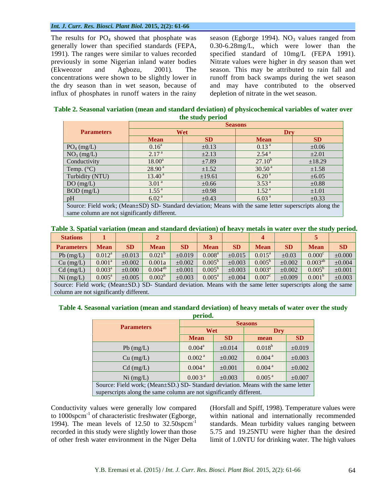### *Int. J. Curr. Res. Biosci. Plant Biol.* **2015, 2(2): 61-66**

The results for  $PO_4$  showed that phosphate was season (Egborge 1994). NO<sub>3</sub> values ranged from generally lower than specified standards (FEPA, 0.30-6.28mg/L, which were lower than the 1991)*.* The ranges were similar to values recorded specified standard of 10mg/L (FEPA 1991). previously in some Nigerian inland water bodies Nitrate values were higher in dry season than wet (Ekweozor and Agbozu, 2001)*.* The season. Thismay be attributed to rain fall and concentrations were shown to be slightly lower in runoff from back swamps during the wet season the dry season than in wet season, because of and may have contributed to the observed influx of phosphates in runoff waters in the rainy

depletion of nitrate in the wet season.

| <b>Parameters</b>                                                                                       | Wet                 |            |                    |            |
|---------------------------------------------------------------------------------------------------------|---------------------|------------|--------------------|------------|
|                                                                                                         | <b>Mean</b>         |            | <b>Mean</b>        | SD.        |
| PO <sub>4</sub> (mg/L)                                                                                  | $0.16^{\rm a}$      | $\pm 0.13$ | 0.13 <sup>a</sup>  | $\pm 0.06$ |
| NO <sub>3</sub> (mg/L)                                                                                  | 2.17 <sup>a</sup>   | $\pm 2.13$ | $2.54^{\text{a}}$  | $\pm 2.01$ |
| Conductivity                                                                                            | $18.00^a$           | ±7.89      | $27.10^{b}$        | ±18.29     |
| Temp. (°C)                                                                                              | $28.90^{\text{a}}$  | $\pm 1.52$ | 30.50 <sup>a</sup> | $\pm 1.58$ |
| Turbidity (NTU)                                                                                         | $13.40^{\text{ a}}$ | ±19.61     | $6.20^{\text{a}}$  | $\pm 6.05$ |
| DO(mg/L)                                                                                                | 3.01 <sup>a</sup>   | $\pm 0.66$ | 3.53 <sup>a</sup>  | $\pm 0.88$ |
| BOD (mg/L)                                                                                              | 1.55 <sup>a</sup>   | $\pm 0.98$ | 1.52 <sup>a</sup>  | $\pm 1.01$ |
|                                                                                                         | 6.02 <sup>a</sup>   | $\pm 0.43$ | 6.03 <sup>a</sup>  | $\pm 0.33$ |
| Source: Field work; (Mean±SD) SD- Standard deviation; Means with the same letter superscripts along the |                     |            |                    |            |

same column are not significantly different.

| Table 3. Spatial variation (mean and standard deviation) of heavy metals in water over the stu | . the study $\,$<br>period. |  |
|------------------------------------------------------------------------------------------------|-----------------------------|--|
|                                                                                                |                             |  |
|                                                                                                |                             |  |

| Stations 1 2 2 3 4 5                                                                                                                                                                                                                                        |  |  |  |  |  |
|-------------------------------------------------------------------------------------------------------------------------------------------------------------------------------------------------------------------------------------------------------------|--|--|--|--|--|
| <b>Parameters Mean SD Mean SD Mean SD Mean SD Mean SD Mean SD</b>                                                                                                                                                                                           |  |  |  |  |  |
| Pb (mg/L) $\vert$ 0.012 <sup>a</sup> $\vert$ $\pm$ 0.013 $\vert$ 0.021 <sup>b</sup> $\vert$ $\pm$ 0.019 $\vert$ 0.008 <sup>a</sup> $\vert$ $\pm$ 0.015 $\vert$ 0.015 <sup>a</sup> $\vert$ $\pm$ 0.03 $\vert$ 0.000 <sup>c</sup> $\vert$ $\pm$ 0.000 $\vert$ |  |  |  |  |  |
| Cu (mg/L) $\vert$ 0.001 <sup>a</sup> $\vert$ $\pm$ 0.002 $\vert$ 0.001a $\vert$ $\pm$ 0.002 $\vert$ 0.005 <sup>b</sup> $\vert$ $\pm$ 0.003 $\vert$ 0.005 <sup>b</sup> $\vert$ $\pm$ 0.002 $\vert$ 0.003 <sup>ab</sup> $\vert$ $\pm$ 0.004 $\vert$           |  |  |  |  |  |
| Cd (mg/L) $  0.003^{\circ}   \pm 0.000   0.004^{\circ\circ}   \pm 0.001   0.005^{\circ}   \pm 0.003   0.003^{\circ}   \pm 0.002   0.005^{\circ}   \pm 0.001  $                                                                                              |  |  |  |  |  |
| Ni (mg/L) $\mid$ 0.005 <sup>4</sup> $\mid$ $\pm$ 0.005 $\mid$ 0.002 <sup>6</sup> $\mid$ $\pm$ 0.003 $\mid$ 0.005 <sup>4</sup> $\mid$ $\pm$ 0.004 $\mid$ 0.007 <sup>6</sup> $\mid$ $\pm$ 0.009 $\mid$ 0.001 <sup>6</sup> $\mid$ $\pm$ 0.003 $\mid$           |  |  |  |  |  |
| Source: Field work; (Mean±SD.) SD-Standard deviation. Means with the same letter superscripts along the same                                                                                                                                                |  |  |  |  |  |

column are not significantly different.

# **Table 4. Seasonal variation (mean and standard deviation) of heavy metals of water over the study**

|                                                                                   | period.            |             |                      |             |
|-----------------------------------------------------------------------------------|--------------------|-------------|----------------------|-------------|
|                                                                                   |                    |             |                      |             |
| <b>Parameters</b>                                                                 | Wet                |             |                      |             |
|                                                                                   | <b>Mean</b>        | <b>SD</b>   | mean                 | <b>SD</b>   |
| Pb (mg/L)                                                                         | $0.004^{\rm a}$    | $\pm 0.014$ | $0.018^{b}$          | ±0.019      |
| Cu (mg/L)                                                                         | 0.002 <sup>a</sup> | $\pm 0.002$ | 0.004 <sup>a</sup>   | $\pm 0.003$ |
| $Cd$ (mg/L)                                                                       | 0.004 <sup>a</sup> | $\pm 0.001$ | $0.004^{\text{ a}}$  | $\pm 0.002$ |
| Ni (mg/L)                                                                         | 0.003 <sup>a</sup> | $\pm 0.003$ | $0.005$ <sup>a</sup> | $\pm 0.007$ |
| Source: Field work; (Mean±SD.) SD- Standard deviation. Means with the same letter |                    |             |                      |             |
| superscripts along the same column are not significantly different.               |                    |             |                      |             |

Conductivity values were generally low compared to  $1000$ spcm $^{-1}$  of characteristic freshwater (Egborge, 1994). The mean levels of 12.50 to  $32.50$  spcm<sup>-1</sup> standards. Mean turbidity values ranging between recorded in this study were slightly lower than those 5.75 and 19.25NTU were higher than the desired

 of characteristic freshwater (Egborge, within national and internationally recommended of other fresh water environment in the Niger Delta limit of 1.0NTU for drinking water. The high values (Horsfall and Spiff, 1998). Temperature values were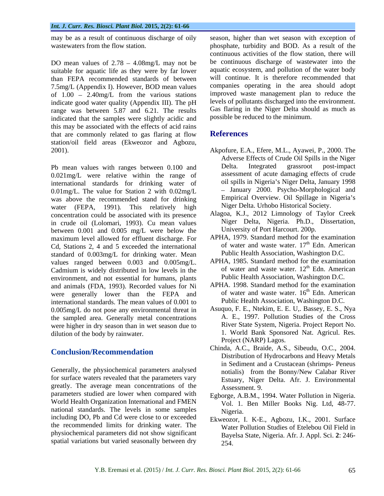may be as a result of continuous discharge of oily

DO mean values of  $2.78 - 4.08$ mg/L may not be suitable for aquatic life as they were by far lower than FEPA recommended standards of between 7.5mg/L (Appendix I). However, BOD mean values of  $1.00 - 2.40$  mg/L from the various stations indicate good water quality (Appendix III). The pH range was between 5.87 and 6.21. The results indicated that the samples were slightly acidic and this may be associated with the effects of acid rains that are commonly related to gas flaring at flow References station/oil field areas (Ekweozor and Agbozu,

0.021mg/L were relative within the range of international standards for drinking water of 0.01mg/L. The value for Station 2 with 0.02mg/L was above the recommended stand for drinking water (FEPA, 1991)*.* This relatively high concentration could be associated with its presence in crude oil (Lolomari, 1993). Cu mean values between 0.001 and 0.005 mg/L were below the maximum level allowed for effluent discharge. For Cd, Stations 2, 4 and 5 exceeded the international standard of 0.003mg/L for drinking water. Mean values ranged between 0.003 and 0.005mg/L. Cadmium is widely distributed in low levels in the environment, and not essential for humans, plants and animals (FDA, 1993). Recorded values for Ni were generally lower than the FEPA and international standards. The mean values of 0.001 to 0.005mg/L do not pose any environmental threat in the sampled area. Generally metal concentrations were higher in dry season than in wet season due to

Generally, the physiochemical parameters analysed for surface waters revealed that the parameters vary greatly. The average mean concentrations of the parameters studied are lower when compared with World Health Organization International and FMEN national standards. The levels in some samples Nigeria. including DO, Pb and Cd were close to or exceeded the recommended limits for drinking water. The physiochemical parameters did not show significant spatial variations but varied seasonally between dry

wastewaters from the flow station. The phosphate, turbidity and BOD. As a result of the season, higher than wet season with exception of continuous activities of the flow station, there will be continuous discharge of wastewater into the aquatic ecosystem, and pollution of the water body will continue. It is therefore recommended that companies operating in the area should adopt improved waste management plan to reduce the levels of pollutants discharged into the environment. Gas flaring in the Niger Delta should as much as possible be reduced to the minimum.

## **References**

- 2001). Akpofure, E.A., Efere, M.L., Ayawei, P., 2000. The Pb mean values with ranges between 0.100 and Delta. Integrated grassroot post-impact Adverse Effects of Crude Oil Spills in the Niger Delta. Integrated grassroot post-impact assessment of acute damaging effects of crude oil spills in Nigeria's Niger Delta, January 1998 January 2000. Psycho-Morphological and Empirical Overview. Oil Spillage in Nigeria's Niger Delta. Urhobo Historical Society.
	- Alagoa, K.J., 2012 Limnology of Taylor Creek Niger Delta, Nigeria. Ph.D., Dissertation, University of Port Harcourt. 200p.
	- APHA, 1979. Standard method for the examination of water and waste water. 17<sup>th</sup> Edn. American <sup>th</sup> Edn. American Public Health Association, Washington D.C.
	- APHA, 1985. Standard method for the examination of water and waste water. 12<sup>th</sup> Edn. American <sup>th</sup> Edn. American Public Health Association, Washington D.C.
	- APHA. 1998. Standard method for the examination of water and waste water. 16<sup>th</sup> Edn. American <sup>th</sup> Edn. American Public Health Association, Washington D.C.
- dilution of the body by rainwater. 1. World Bank Sponsored Nat. Agricul. Res. Asuquo, F. E., Ntekim, E. E. U,. Bassey, E. S., Nya A. E., 1997. Pollution Studies of the Cross River State System, Nigeria. Project Report No. Project (NARP) Lagos.
- **Conclusion/Recommendation**<br>Conclusion/Recommendation Chinda, A.C., Braide, A.S., Sibeudu, O.C., 2004. Distribution of Hydrocarbons and Heavy Metals in Sediment and a Crustacean (shrimps- Peneus notialis) from the Bonny/New Calabar River Estuary, Niger Delta. Afr. J. Environmental Assessment. 9.
	- Egborge, A.B.M., 1994. Water Pollution in Nigeria. Vol. 1. Ben Miller Books Nig. Ltd, 48-77. Nigeria.
	- Ekweozor, I. K-E., Agbozu, I.K., 2001. Surface Water Pollution Studies of Etelebou Oil Field in Bayelsa State, Nigeria. Afr. J. Appl. Sci. **2**: 246- 254.